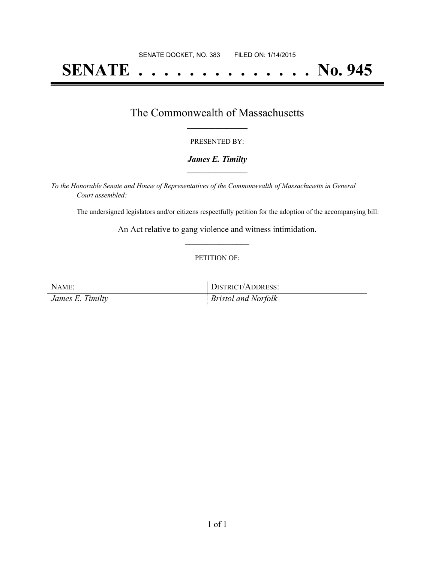# **SENATE . . . . . . . . . . . . . . No. 945**

### The Commonwealth of Massachusetts **\_\_\_\_\_\_\_\_\_\_\_\_\_\_\_\_\_**

#### PRESENTED BY:

#### *James E. Timilty* **\_\_\_\_\_\_\_\_\_\_\_\_\_\_\_\_\_**

*To the Honorable Senate and House of Representatives of the Commonwealth of Massachusetts in General Court assembled:*

The undersigned legislators and/or citizens respectfully petition for the adoption of the accompanying bill:

An Act relative to gang violence and witness intimidation. **\_\_\_\_\_\_\_\_\_\_\_\_\_\_\_**

#### PETITION OF:

NAME: DISTRICT/ADDRESS:

*James E. Timilty Bristol and Norfolk*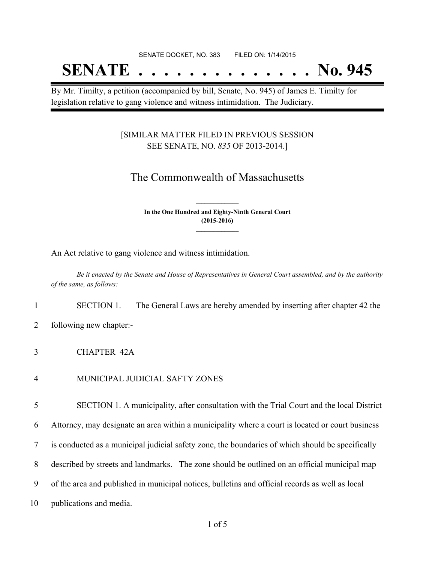#### SENATE DOCKET, NO. 383 FILED ON: 1/14/2015

## **SENATE . . . . . . . . . . . . . . No. 945**

By Mr. Timilty, a petition (accompanied by bill, Senate, No. 945) of James E. Timilty for legislation relative to gang violence and witness intimidation. The Judiciary.

#### [SIMILAR MATTER FILED IN PREVIOUS SESSION SEE SENATE, NO. *835* OF 2013-2014.]

## The Commonwealth of Massachusetts

**In the One Hundred and Eighty-Ninth General Court (2015-2016) \_\_\_\_\_\_\_\_\_\_\_\_\_\_\_**

**\_\_\_\_\_\_\_\_\_\_\_\_\_\_\_**

An Act relative to gang violence and witness intimidation.

Be it enacted by the Senate and House of Representatives in General Court assembled, and by the authority *of the same, as follows:*

1 SECTION 1. The General Laws are hereby amended by inserting after chapter 42 the

2 following new chapter:-

3 CHAPTER 42A

4 MUNICIPAL JUDICIAL SAFTY ZONES

5 SECTION 1. A municipality, after consultation with the Trial Court and the local District

6 Attorney, may designate an area within a municipality where a court is located or court business

7 is conducted as a municipal judicial safety zone, the boundaries of which should be specifically

8 described by streets and landmarks. The zone should be outlined on an official municipal map

9 of the area and published in municipal notices, bulletins and official records as well as local

10 publications and media.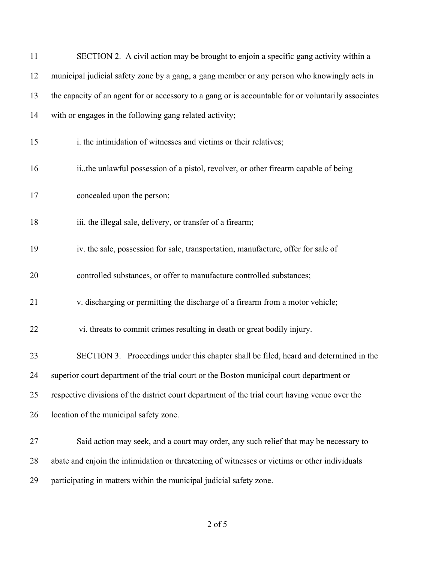| 11 | SECTION 2. A civil action may be brought to enjoin a specific gang activity within a                |
|----|-----------------------------------------------------------------------------------------------------|
| 12 | municipal judicial safety zone by a gang, a gang member or any person who knowingly acts in         |
| 13 | the capacity of an agent for or accessory to a gang or is accountable for or voluntarily associates |
| 14 | with or engages in the following gang related activity;                                             |
| 15 | i. the intimidation of witnesses and victims or their relatives;                                    |
| 16 | iithe unlawful possession of a pistol, revolver, or other firearm capable of being                  |
| 17 | concealed upon the person;                                                                          |
| 18 | iii. the illegal sale, delivery, or transfer of a firearm;                                          |
| 19 | iv. the sale, possession for sale, transportation, manufacture, offer for sale of                   |
| 20 | controlled substances, or offer to manufacture controlled substances;                               |
| 21 | v. discharging or permitting the discharge of a firearm from a motor vehicle;                       |
| 22 | vi. threats to commit crimes resulting in death or great bodily injury.                             |
| 23 | SECTION 3. Proceedings under this chapter shall be filed, heard and determined in the               |
| 24 | superior court department of the trial court or the Boston municipal court department or            |
| 25 | respective divisions of the district court department of the trial court having venue over the      |
| 26 | location of the municipal safety zone.                                                              |
| 27 | Said action may seek, and a court may order, any such relief that may be necessary to               |
| 28 | abate and enjoin the intimidation or threatening of witnesses or victims or other individuals       |
| 29 | participating in matters within the municipal judicial safety zone.                                 |

of 5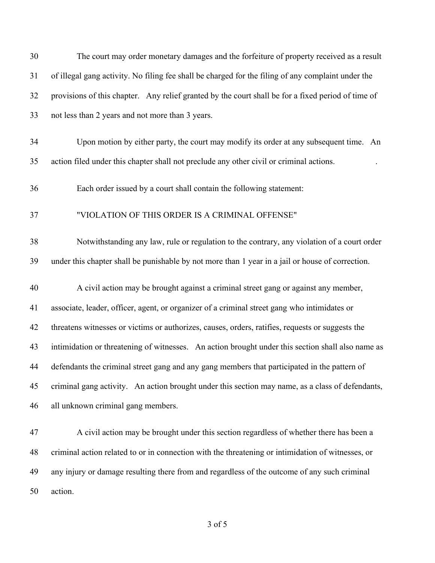| 30 | The court may order monetary damages and the forfeiture of property received as a result           |
|----|----------------------------------------------------------------------------------------------------|
| 31 | of illegal gang activity. No filing fee shall be charged for the filing of any complaint under the |
| 32 | provisions of this chapter. Any relief granted by the court shall be for a fixed period of time of |
| 33 | not less than 2 years and not more than 3 years.                                                   |
| 34 | Upon motion by either party, the court may modify its order at any subsequent time. An             |
| 35 | action filed under this chapter shall not preclude any other civil or criminal actions.            |
| 36 | Each order issued by a court shall contain the following statement:                                |
| 37 | "VIOLATION OF THIS ORDER IS A CRIMINAL OFFENSE"                                                    |
| 38 | Notwithstanding any law, rule or regulation to the contrary, any violation of a court order        |
| 39 | under this chapter shall be punishable by not more than 1 year in a jail or house of correction.   |
| 40 | A civil action may be brought against a criminal street gang or against any member,                |
| 41 | associate, leader, officer, agent, or organizer of a criminal street gang who intimidates or       |
| 42 | threatens witnesses or victims or authorizes, causes, orders, ratifies, requests or suggests the   |
| 43 | intimidation or threatening of witnesses. An action brought under this section shall also name as  |
| 44 | defendants the criminal street gang and any gang members that participated in the pattern of       |
| 45 | criminal gang activity. An action brought under this section may name, as a class of defendants,   |
| 46 | all unknown criminal gang members.                                                                 |
| 47 | A civil action may be brought under this section regardless of whether there has been a            |
| 48 | criminal action related to or in connection with the threatening or intimidation of witnesses, or  |
| 49 | any injury or damage resulting there from and regardless of the outcome of any such criminal       |
| 50 | action.                                                                                            |

of 5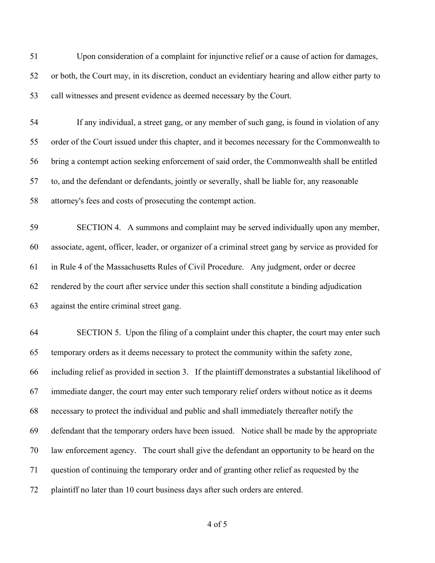Upon consideration of a complaint for injunctive relief or a cause of action for damages, or both, the Court may, in its discretion, conduct an evidentiary hearing and allow either party to call witnesses and present evidence as deemed necessary by the Court.

 If any individual, a street gang, or any member of such gang, is found in violation of any order of the Court issued under this chapter, and it becomes necessary for the Commonwealth to bring a contempt action seeking enforcement of said order, the Commonwealth shall be entitled to, and the defendant or defendants, jointly or severally, shall be liable for, any reasonable attorney's fees and costs of prosecuting the contempt action.

 SECTION 4. A summons and complaint may be served individually upon any member, associate, agent, officer, leader, or organizer of a criminal street gang by service as provided for in Rule 4 of the Massachusetts Rules of Civil Procedure. Any judgment, order or decree rendered by the court after service under this section shall constitute a binding adjudication against the entire criminal street gang.

 SECTION 5. Upon the filing of a complaint under this chapter, the court may enter such temporary orders as it deems necessary to protect the community within the safety zone, including relief as provided in section 3. If the plaintiff demonstrates a substantial likelihood of immediate danger, the court may enter such temporary relief orders without notice as it deems necessary to protect the individual and public and shall immediately thereafter notify the defendant that the temporary orders have been issued. Notice shall be made by the appropriate law enforcement agency. The court shall give the defendant an opportunity to be heard on the question of continuing the temporary order and of granting other relief as requested by the plaintiff no later than 10 court business days after such orders are entered.

of 5